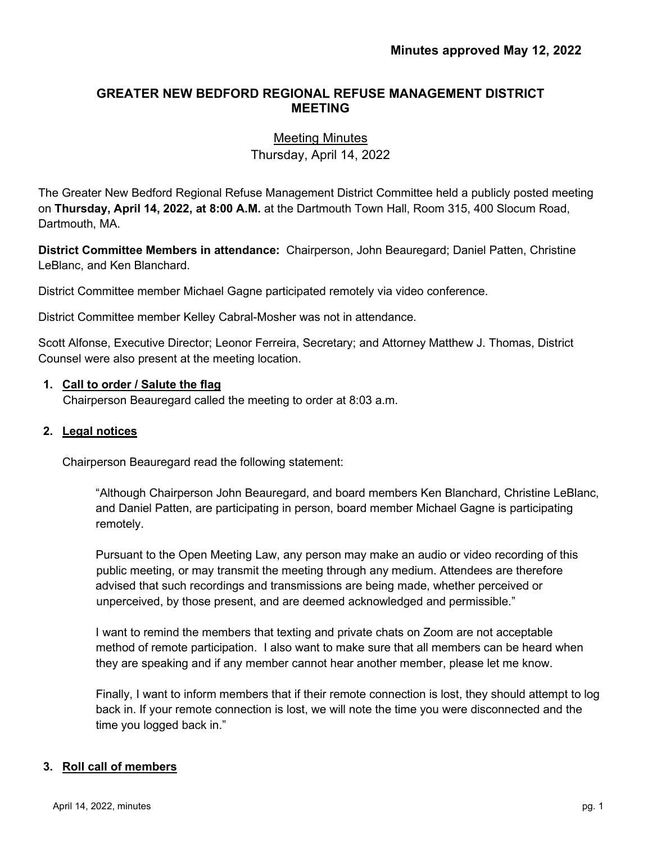# **GREATER NEW BEDFORD REGIONAL REFUSE MANAGEMENT DISTRICT MEETING**

# Meeting Minutes Thursday, April 14, 2022

The Greater New Bedford Regional Refuse Management District Committee held a publicly posted meeting on **Thursday, April 14, 2022, at 8:00 A.M.** at the Dartmouth Town Hall, Room 315, 400 Slocum Road, Dartmouth, MA.

**District Committee Members in attendance:** Chairperson, John Beauregard; Daniel Patten, Christine LeBlanc, and Ken Blanchard.

District Committee member Michael Gagne participated remotely via video conference.

District Committee member Kelley Cabral-Mosher was not in attendance.

Scott Alfonse, Executive Director; Leonor Ferreira, Secretary; and Attorney Matthew J. Thomas, District Counsel were also present at the meeting location.

#### **1. Call to order / Salute the flag**

Chairperson Beauregard called the meeting to order at 8:03 a.m.

#### **2. Legal notices**

Chairperson Beauregard read the following statement:

 "Although Chairperson John Beauregard, and board members Ken Blanchard, Christine LeBlanc, and Daniel Patten, are participating in person, board member Michael Gagne is participating remotely.

Pursuant to the Open Meeting Law, any person may make an audio or video recording of this public meeting, or may transmit the meeting through any medium. Attendees are therefore advised that such recordings and transmissions are being made, whether perceived or unperceived, by those present, and are deemed acknowledged and permissible."

I want to remind the members that texting and private chats on Zoom are not acceptable method of remote participation. I also want to make sure that all members can be heard when they are speaking and if any member cannot hear another member, please let me know.

Finally, I want to inform members that if their remote connection is lost, they should attempt to log back in. If your remote connection is lost, we will note the time you were disconnected and the time you logged back in."

#### **3. Roll call of members**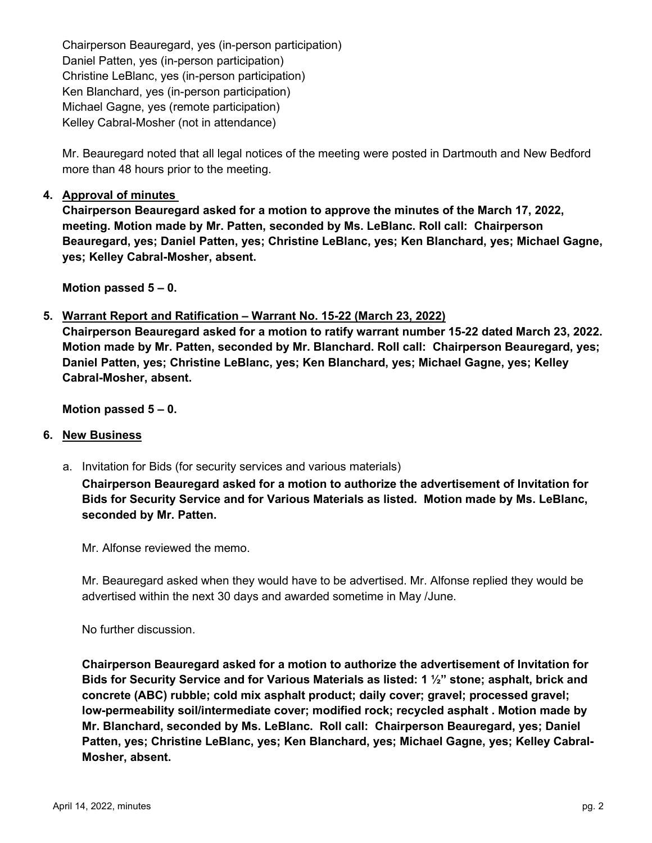Chairperson Beauregard, yes (in-person participation) Daniel Patten, yes (in-person participation) Christine LeBlanc, yes (in-person participation) Ken Blanchard, yes (in-person participation) Michael Gagne, yes (remote participation) Kelley Cabral-Mosher (not in attendance)

Mr. Beauregard noted that all legal notices of the meeting were posted in Dartmouth and New Bedford more than 48 hours prior to the meeting.

## **4. Approval of minutes**

**Chairperson Beauregard asked for a motion to approve the minutes of the March 17, 2022, meeting. Motion made by Mr. Patten, seconded by Ms. LeBlanc. Roll call: Chairperson Beauregard, yes; Daniel Patten, yes; Christine LeBlanc, yes; Ken Blanchard, yes; Michael Gagne, yes; Kelley Cabral-Mosher, absent.** 

**Motion passed 5 – 0.** 

## **5. Warrant Report and Ratification – Warrant No. 15-22 (March 23, 2022)**

**Chairperson Beauregard asked for a motion to ratify warrant number 15-22 dated March 23, 2022. Motion made by Mr. Patten, seconded by Mr. Blanchard. Roll call: Chairperson Beauregard, yes; Daniel Patten, yes; Christine LeBlanc, yes; Ken Blanchard, yes; Michael Gagne, yes; Kelley Cabral-Mosher, absent.** 

**Motion passed 5 – 0.**

#### **6. New Business**

a. Invitation for Bids (for security services and various materials)

**Chairperson Beauregard asked for a motion to authorize the advertisement of Invitation for Bids for Security Service and for Various Materials as listed. Motion made by Ms. LeBlanc, seconded by Mr. Patten.**

Mr. Alfonse reviewed the memo.

Mr. Beauregard asked when they would have to be advertised. Mr. Alfonse replied they would be advertised within the next 30 days and awarded sometime in May /June.

No further discussion.

**Chairperson Beauregard asked for a motion to authorize the advertisement of Invitation for Bids for Security Service and for Various Materials as listed: 1 ½" stone; asphalt, brick and concrete (ABC) rubble; cold mix asphalt product; daily cover; gravel; processed gravel; low-permeability soil/intermediate cover; modified rock; recycled asphalt . Motion made by Mr. Blanchard, seconded by Ms. LeBlanc. Roll call: Chairperson Beauregard, yes; Daniel Patten, yes; Christine LeBlanc, yes; Ken Blanchard, yes; Michael Gagne, yes; Kelley Cabral-Mosher, absent.**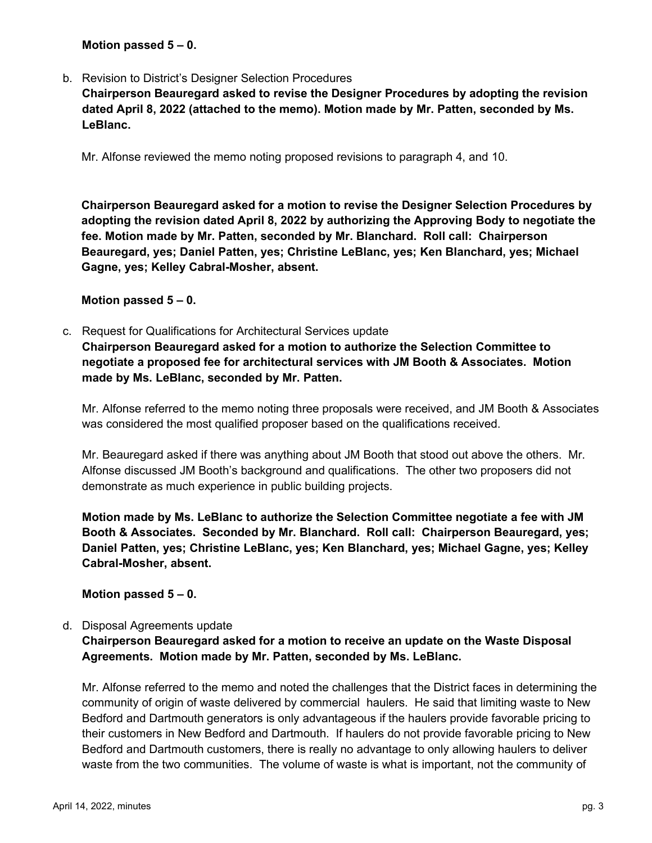#### **Motion passed 5 – 0.**

b. Revision to District's Designer Selection Procedures

**Chairperson Beauregard asked to revise the Designer Procedures by adopting the revision dated April 8, 2022 (attached to the memo). Motion made by Mr. Patten, seconded by Ms. LeBlanc.**

Mr. Alfonse reviewed the memo noting proposed revisions to paragraph 4, and 10.

**Chairperson Beauregard asked for a motion to revise the Designer Selection Procedures by adopting the revision dated April 8, 2022 by authorizing the Approving Body to negotiate the fee. Motion made by Mr. Patten, seconded by Mr. Blanchard. Roll call: Chairperson Beauregard, yes; Daniel Patten, yes; Christine LeBlanc, yes; Ken Blanchard, yes; Michael Gagne, yes; Kelley Cabral-Mosher, absent.**

#### **Motion passed 5 – 0.**

c. Request for Qualifications for Architectural Services update **Chairperson Beauregard asked for a motion to authorize the Selection Committee to negotiate a proposed fee for architectural services with JM Booth & Associates. Motion made by Ms. LeBlanc, seconded by Mr. Patten.**

Mr. Alfonse referred to the memo noting three proposals were received, and JM Booth & Associates was considered the most qualified proposer based on the qualifications received.

Mr. Beauregard asked if there was anything about JM Booth that stood out above the others. Mr. Alfonse discussed JM Booth's background and qualifications. The other two proposers did not demonstrate as much experience in public building projects.

**Motion made by Ms. LeBlanc to authorize the Selection Committee negotiate a fee with JM Booth & Associates. Seconded by Mr. Blanchard. Roll call: Chairperson Beauregard, yes; Daniel Patten, yes; Christine LeBlanc, yes; Ken Blanchard, yes; Michael Gagne, yes; Kelley Cabral-Mosher, absent.**

#### **Motion passed 5 – 0.**

#### d. Disposal Agreements update

**Chairperson Beauregard asked for a motion to receive an update on the Waste Disposal Agreements. Motion made by Mr. Patten, seconded by Ms. LeBlanc.**

Mr. Alfonse referred to the memo and noted the challenges that the District faces in determining the community of origin of waste delivered by commercial haulers. He said that limiting waste to New Bedford and Dartmouth generators is only advantageous if the haulers provide favorable pricing to their customers in New Bedford and Dartmouth. If haulers do not provide favorable pricing to New Bedford and Dartmouth customers, there is really no advantage to only allowing haulers to deliver waste from the two communities. The volume of waste is what is important, not the community of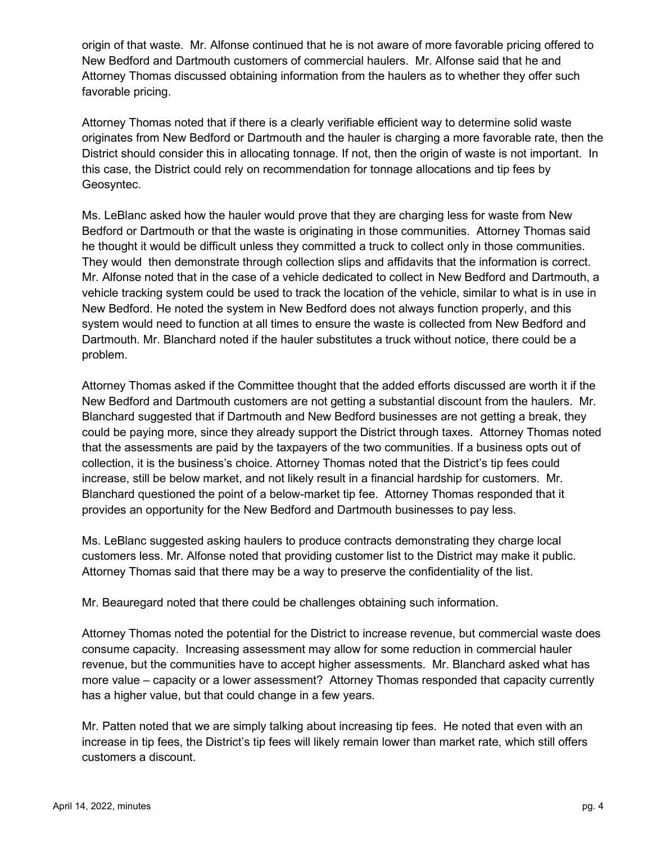origin of that waste. Mr. Alfonse continued that he is not aware of more favorable pricing offered to New Bedford and Dartmouth customers of commercial haulers. Mr. Alfonse said that he and Attorney Thomas discussed obtaining information from the haulers as to whether they offer such favorable pricing.

Attorney Thomas noted that if there is a clearly verifiable efficient way to determine solid waste originates from New Bedford or Dartmouth and the hauler is charging a more favorable rate, then the District should consider this in allocating tonnage. If not, then the origin of waste is not important. In this case, the District could rely on recommendation for tonnage allocations and tip fees by Geosyntec.

Ms. LeBlanc asked how the hauler would prove that they are charging less for waste from New Bedford or Dartmouth or that the waste is originating in those communities. Attorney Thomas said he thought it would be difficult unless they committed a truck to collect only in those communities. They would then demonstrate through collection slips and affidavits that the information is correct. Mr. Alfonse noted that in the case of a vehicle dedicated to collect in New Bedford and Dartmouth, a vehicle tracking system could be used to track the location of the vehicle, similar to what is in use in New Bedford. He noted the system in New Bedford does not always function properly, and this system would need to function at all times to ensure the waste is collected from New Bedford and Dartmouth. Mr. Blanchard noted if the hauler substitutes a truck without notice, there could be a problem.

Attorney Thomas asked if the Committee thought that the added efforts discussed are worth it if the New Bedford and Dartmouth customers are not getting a substantial discount from the haulers. Mr. Blanchard suggested that if Dartmouth and New Bedford businesses are not getting a break, they could be paying more, since they already support the District through taxes. Attorney Thomas noted that the assessments are paid by the taxpayers of the two communities. If a business opts out of collection, it is the business's choice. Attorney Thomas noted that the District's tip fees could increase, still be below market, and not likely result in a financial hardship for customers. Mr. Blanchard questioned the point of a below-market tip fee. Attorney Thomas responded that it provides an opportunity for the New Bedford and Dartmouth businesses to pay less.

Ms. LeBlanc suggested asking haulers to produce contracts demonstrating they charge local customers less. Mr. Alfonse noted that providing customer list to the District may make it public. Attorney Thomas said that there may be a way to preserve the confidentiality of the list.

Mr. Beauregard noted that there could be challenges obtaining such information.

Attorney Thomas noted the potential for the District to increase revenue, but commercial waste does consume capacity. Increasing assessment may allow for some reduction in commercial hauler revenue, but the communities have to accept higher assessments. Mr. Blanchard asked what has more value – capacity or a lower assessment? Attorney Thomas responded that capacity currently has a higher value, but that could change in a few years.

Mr. Patten noted that we are simply talking about increasing tip fees. He noted that even with an increase in tip fees, the District's tip fees will likely remain lower than market rate, which still offers customers a discount.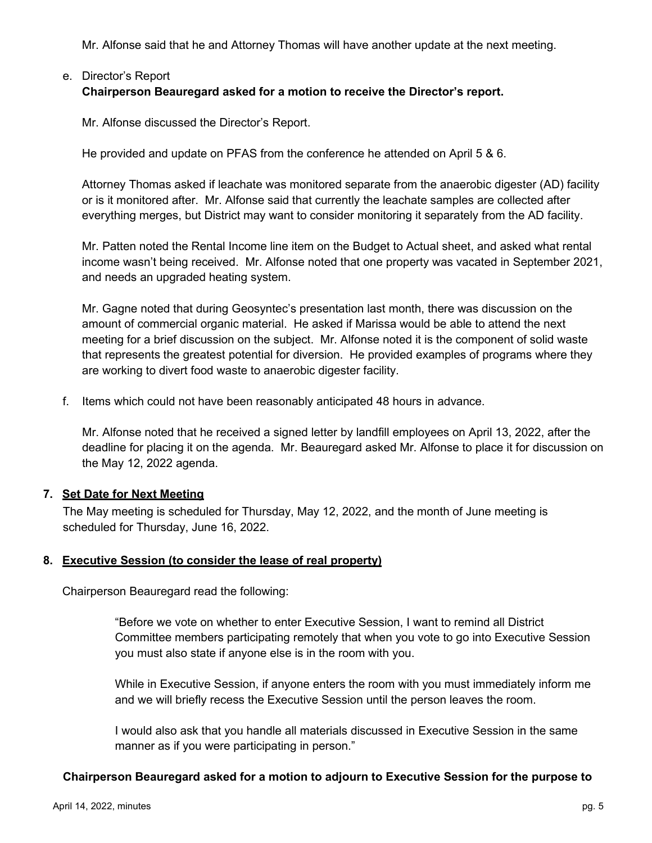Mr. Alfonse said that he and Attorney Thomas will have another update at the next meeting.

# e. Director's Report **Chairperson Beauregard asked for a motion to receive the Director's report.**

Mr. Alfonse discussed the Director's Report.

He provided and update on PFAS from the conference he attended on April 5 & 6.

Attorney Thomas asked if leachate was monitored separate from the anaerobic digester (AD) facility or is it monitored after. Mr. Alfonse said that currently the leachate samples are collected after everything merges, but District may want to consider monitoring it separately from the AD facility.

Mr. Patten noted the Rental Income line item on the Budget to Actual sheet, and asked what rental income wasn't being received. Mr. Alfonse noted that one property was vacated in September 2021, and needs an upgraded heating system.

Mr. Gagne noted that during Geosyntec's presentation last month, there was discussion on the amount of commercial organic material. He asked if Marissa would be able to attend the next meeting for a brief discussion on the subject. Mr. Alfonse noted it is the component of solid waste that represents the greatest potential for diversion. He provided examples of programs where they are working to divert food waste to anaerobic digester facility.

f. Items which could not have been reasonably anticipated 48 hours in advance.

Mr. Alfonse noted that he received a signed letter by landfill employees on April 13, 2022, after the deadline for placing it on the agenda. Mr. Beauregard asked Mr. Alfonse to place it for discussion on the May 12, 2022 agenda.

## **7. Set Date for Next Meeting**

The May meeting is scheduled for Thursday, May 12, 2022, and the month of June meeting is scheduled for Thursday, June 16, 2022.

#### **8. Executive Session (to consider the lease of real property)**

Chairperson Beauregard read the following:

"Before we vote on whether to enter Executive Session, I want to remind all District Committee members participating remotely that when you vote to go into Executive Session you must also state if anyone else is in the room with you.

While in Executive Session, if anyone enters the room with you must immediately inform me and we will briefly recess the Executive Session until the person leaves the room.

I would also ask that you handle all materials discussed in Executive Session in the same manner as if you were participating in person."

#### **Chairperson Beauregard asked for a motion to adjourn to Executive Session for the purpose to**